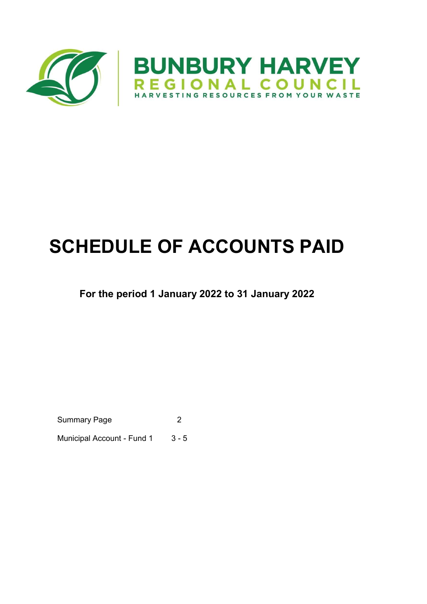

# SCHEDULE OF ACCOUNTS PAID

# For the period 1 January 2022 to 31 January 2022

Summary Page 2

Municipal Account - Fund 1 3 - 5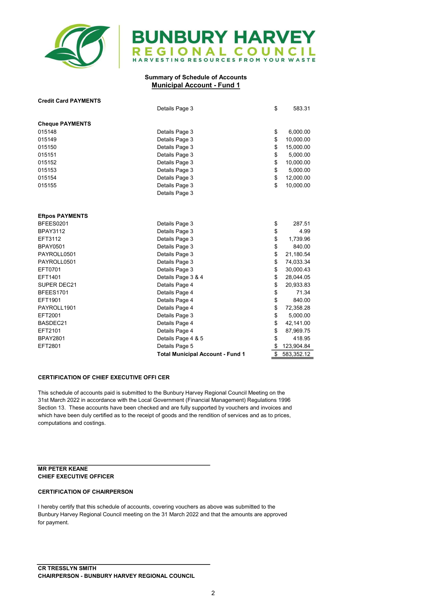

# **BUNBURY HARVEY** EGIONAL COUNCIL HARVESTING RESOURCES FROM YOUR WASTE

## Summary of Schedule of Accounts Municipal Account - Fund 1

| <b>Credit Card PAYMENTS</b> |                                         |                  |
|-----------------------------|-----------------------------------------|------------------|
|                             | Details Page 3                          | \$<br>583.31     |
|                             |                                         |                  |
| <b>Cheque PAYMENTS</b>      |                                         |                  |
| 015148                      | Details Page 3                          | \$<br>6,000.00   |
| 015149                      | Details Page 3                          | \$<br>10,000.00  |
| 015150                      | Details Page 3                          | \$<br>15,000.00  |
| 015151                      | Details Page 3                          | \$<br>5,000.00   |
| 015152                      | Details Page 3                          | \$<br>10,000.00  |
| 015153                      | Details Page 3                          | \$<br>5,000.00   |
| 015154                      | Details Page 3                          | \$<br>12,000.00  |
| 015155                      | Details Page 3                          | \$<br>10,000.00  |
|                             | Details Page 3                          |                  |
|                             |                                         |                  |
| <b>Eftpos PAYMENTS</b>      |                                         |                  |
| BFEES0201                   | Details Page 3                          | \$<br>287.51     |
| <b>BPAY3112</b>             | Details Page 3                          | \$<br>4.99       |
| EFT3112                     | Details Page 3                          | \$<br>1,739.96   |
| <b>BPAY0501</b>             | Details Page 3                          | \$<br>840.00     |
| PAYROLL0501                 | Details Page 3                          | \$<br>21,180.54  |
| PAYROLL0501                 | Details Page 3                          | \$<br>74,033.34  |
| EFT0701                     | Details Page 3                          | \$<br>30,000.43  |
| EFT1401                     | Details Page 3 & 4                      | \$<br>28,044.05  |
| SUPER DEC21                 | Details Page 4                          | \$<br>20,933.83  |
| <b>BFEES1701</b>            | Details Page 4                          | \$<br>71.34      |
| EFT1901                     | Details Page 4                          | \$<br>840.00     |
| PAYROLL1901                 | Details Page 4                          | \$<br>72,358.28  |
| EFT2001                     | Details Page 3                          | \$<br>5,000.00   |
| BASDEC21                    | Details Page 4                          | \$<br>42,141.00  |
| EFT2101                     | Details Page 4                          | \$<br>87,969.75  |
| <b>BPAY2801</b>             | Details Page 4 & 5                      | \$<br>418.95     |
| EFT2801                     | Details Page 5                          | \$<br>123,904.84 |
|                             | <b>Total Municipal Account - Fund 1</b> | \$<br>583,352.12 |

### CERTIFICATION OF CHIEF EXECUTIVE OFFI CER

This schedule of accounts paid is submitted to the Bunbury Harvey Regional Council Meeting on the 31st March 2022 in accordance with the Local Government (Financial Management) Regulations 1996 Section 13. These accounts have been checked and are fully supported by vouchers and invoices and which have been duly certified as to the receipt of goods and the rendition of services and as to prices, computations and costings.

#### MR PETER KEANE CHIEF EXECUTIVE OFFICER

## CERTIFICATION OF CHAIRPERSON

I hereby certify that this schedule of accounts, covering vouchers as above was submitted to the Bunbury Harvey Regional Council meeting on the 31 March 2022 and that the amounts are approved for payment.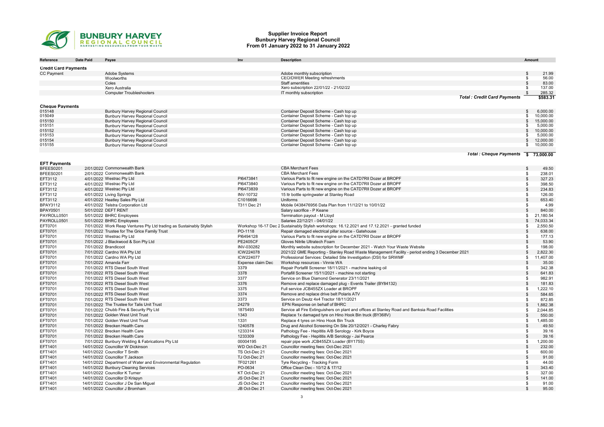

#### Supplier Invoice Report Bunbury Harvey Regional Council From 01 January 2022 to 31 January 2022

| Reference                   | Date Paid | Payee                                                                     | Inv                            | <b>Description</b>                                                                                                                                                   |                    | Amount                |
|-----------------------------|-----------|---------------------------------------------------------------------------|--------------------------------|----------------------------------------------------------------------------------------------------------------------------------------------------------------------|--------------------|-----------------------|
| <b>Credit Card Payments</b> |           |                                                                           |                                |                                                                                                                                                                      |                    |                       |
| <b>CC Payment</b>           |           | Adobe Systems                                                             |                                | Adobe monthly subscription                                                                                                                                           | \$                 | 21.99                 |
|                             |           | Woolworths                                                                |                                | <b>CEO/DWER Meeting refreshments</b>                                                                                                                                 | \$                 | 56.00                 |
|                             |           | Coles                                                                     |                                | Staff amentities                                                                                                                                                     | \$                 | 83.00                 |
|                             |           | Xero Australia                                                            |                                | Xero subscription 22/01/22 - 21/02/22                                                                                                                                |                    | 137.00                |
|                             |           | <b>Computer Troubleshooters</b>                                           |                                | IT monthly subscription                                                                                                                                              | \$                 | 285.32                |
|                             |           |                                                                           |                                | <b>Total: Credit Card Payments</b>                                                                                                                                   |                    | \$583.31              |
| <b>Cheque Payments</b>      |           |                                                                           |                                |                                                                                                                                                                      |                    |                       |
| 015148                      |           | <b>Bunbury Harvey Regional Council</b>                                    |                                | Container Deposit Scheme - Cash top up                                                                                                                               | \$                 | 6,000.00              |
| 015049                      |           | <b>Bunbury Harvey Regional Council</b>                                    |                                | Container Deposit Scheme - Cash top up                                                                                                                               | \$                 | 10,000.00             |
| 015150                      |           | <b>Bunbury Harvey Regional Council</b>                                    |                                | Container Deposit Scheme - Cash top up                                                                                                                               | $\mathbb{S}$       | 15,000.00             |
| 015151                      |           | <b>Bunbury Harvey Regional Council</b>                                    |                                | Container Deposit Scheme - Cash top up                                                                                                                               | - 35               | 5,000.00              |
| 015152<br>015153            |           | <b>Bunbury Harvey Regional Council</b><br>Bunbury Harvey Regional Council |                                | Container Deposit Scheme - Cash top up<br>Container Deposit Scheme - Cash top up                                                                                     | $\mathbf{s}$<br>\$ | 10.000.00<br>5,000.00 |
| 015154                      |           | Bunbury Harvey Regional Council                                           |                                | Container Deposit Scheme - Cash top up                                                                                                                               | $\mathfrak{L}$     | 12,000.00             |
| 015155                      |           | <b>Bunbury Harvey Regional Council</b>                                    |                                | Container Deposit Scheme - Cash top up                                                                                                                               | \$                 | 10,000.00             |
|                             |           |                                                                           |                                |                                                                                                                                                                      |                    |                       |
|                             |           |                                                                           |                                | Total: Cheque Payments \$73,000.00                                                                                                                                   |                    |                       |
| <b>EFT Payments</b>         |           |                                                                           |                                |                                                                                                                                                                      |                    |                       |
| BFEES0201                   |           | 2/01/2022 Commonwealth Bank                                               |                                | <b>CBA Merchant Fees</b>                                                                                                                                             | \$                 | 49.50                 |
| BFEES0201                   |           | 2/01/2022 Commonwealth Bank                                               |                                | <b>CBA Merchant Fees</b>                                                                                                                                             | \$                 | 238.01                |
| EFT3112                     |           | 4/01/2022 Westrac Pty Ltd                                                 | PI6473841                      | Various Parts to fit new engine on the CATD7RII Dozer at BROPF                                                                                                       | $\mathsf{s}$       | 327.23                |
| EFT3112                     |           | 4/01/2022 Westrac Pty Ltd                                                 | PI6473840                      | Various Parts to fit new engine on the CATD7RII Dozer at BROPF                                                                                                       | \$                 | 398.50                |
| EFT3112                     |           | 4/01/2022 Westrac Pty Ltd                                                 | PI6473839                      | Various Parts to fit new engine on the CATD7RII Dozer at BROPF                                                                                                       | $\mathbb{S}$       | 234.83                |
| EFT3112                     |           | 4/01/2022 Living Springs                                                  | INV-10732                      | 15 Itr bottle springwater at Stanley Road                                                                                                                            | \$                 | 126.00                |
| EFT3112                     |           | 4/01/2022 Heatley Sales Pty Ltd                                           | C1016698                       | Uniforms                                                                                                                                                             | $\mathsf{s}$       | 653.40                |
| BPAY3112                    |           | 4/01/2022 Telstra Corporation Ltd                                         | T311 Dec 21                    | Mobile 0438476956 Data Plan from 11/12/21 to 10/01/22                                                                                                                | \$                 | 4.99                  |
| <b>BPAY0501</b>             |           | 5/01/2022 DEFT RENT                                                       |                                | Salary sacrifice - P Keane                                                                                                                                           | $\mathbb{S}$       | 840.00                |
| PAYROLL0501                 |           | 5/01/2022 BHRC Employees                                                  |                                | Termination payout - M Lloyd                                                                                                                                         | \$                 | 21,180.54             |
| PAYROLL0501                 |           | 5/01/2022 BHRC Employees                                                  |                                | Salaries 22/12/21 - 04/01/22                                                                                                                                         | $\mathbf{s}$       | 74,033.34             |
| EFT0701                     |           | 7/01/2022 Work Reap Ventures Pty Ltd trading as Sustainably Stylish       |                                | Workshop 16-17 Dec 2 Sustainably Stylish workshops: 16.12.2021 and 17.12.2021 - granted funded                                                                       | \$                 | 2.550.50              |
| EFT0701                     |           | 7/01/2022 Trustee for The Grice Family Trust                              | PO-1118                        | Repair damaged electrical pillar source - Gatehouse                                                                                                                  | $\mathbb{S}$       | 638.00                |
| EFT0701                     |           | 7/01/2022 Westrac Pty Ltd                                                 | PI6494128                      | Various Parts to fit new engine on the CATD7RII Dozer at BROPF                                                                                                       | \$                 | 177.13                |
| EFT0701                     |           | 7/01/2022 J Blackwood & Son Pty Ltd                                       | <b>PE2405CF</b>                | Gloves Nitrile Ultratech Foam                                                                                                                                        | $\mathsf{s}$       | 53.90                 |
| EFT0701                     |           | 7/01/2022 Brandicoot                                                      | INV-030282<br>ICW224078        | Monthly website subscription for December 2021 - Watch Your Waste Website                                                                                            | \$<br>$\mathsf{s}$ | 198.00                |
| EFT0701                     |           | 7/01/2022 Cardno WA Pty Ltd<br>7/01/2022 Cardno WA Pty Ltd                | ICW224077                      | 2021/22 GME Reporting - Stanley Road Waste Management Facility - period ending 3 December 2021<br>Professional Services: Detailed Site Investigation (DSI) for SRWMF | \$                 | 2,822.30<br>11.407.00 |
| EFT0701<br>EFT0701          |           | 7/01/2022 Amanda Farr                                                     | Expense claim Dec              | Workshop resources - Vinnie WA                                                                                                                                       | $\mathbb{S}$       | 35.00                 |
| EFT0701                     |           | 7/01/2022 RTS Diesel South West                                           | 3379                           | Repair Portafill Screener 18/11/2021 - machine leaking oil                                                                                                           | \$                 | 342.38                |
| EFT0701                     |           | 7/01/2022 RTS Diesel South West                                           | 3378                           | Portafill Screener 15/11/2021 - machine not starting                                                                                                                 | $\mathbb{S}$       | 641.83                |
| EFT0701                     |           | 7/01/2022 RTS Diesel South West                                           | 3377                           | Service on Blue Diamond Generator 23/11/2021                                                                                                                         | \$                 | 982.91                |
| EFT0701                     |           | 7/01/2022 RTS Diesel South West                                           | 3376                           | Remove and replace damaged plug - Events Trailer (BY84132)                                                                                                           | $\mathbb{S}$       | 181.83                |
| EFT0701                     |           | 7/01/2022 RTS Diesel South West                                           | 3375                           | Full service JCB455ZX Loader at BROPF                                                                                                                                | \$                 | 1,222.10              |
| EFT0701                     |           | 7/01/2022 RTS Diesel South West                                           | 3374                           | Remove and replace drive belt Polaris ATV                                                                                                                            | $\mathbb{S}$       | 584.65                |
| EFT0701                     |           | 7/01/2022 RTS Diesel South West                                           | 3373                           | Service on Deutz 4x4 Tractor 18/11/2021                                                                                                                              | \$                 | 872.85                |
| EFT0701                     |           | 7/01/2022 The Trustee for Talis Unit Trust                                | 24279                          | EPN Response on behalf of BHRC                                                                                                                                       | $\mathbb{S}$       | 1,882.38              |
| EFT0701                     |           | 7/01/2022 Chubb Fire & Security Pty Ltd                                   | 1875493                        | Service all Fire Extinguishers on plant and offices at Stanley Road and Banksia Road Facilities                                                                      | \$                 | 2,044.85              |
| EFT0701                     |           | 7/01/2022 Golden West Unit Trust                                          | 1343                           | Replace 1x damaged tyre on Hino Hook Bin truck (BY368V)                                                                                                              | $\mathsf{s}$       | 550.00                |
| EFT0701                     |           | 7/01/2022 Golden West Unit Trust                                          | 1331                           | Replace 4 tyres on Hino Hook Bin Truck                                                                                                                               | \$                 | 1,485.00              |
| EFT0701                     |           | 7/01/2022 Brecken Health Care                                             | 1240578                        | Drug and Alcohol Screening On Site 20/12/2021 - Charley Fabry                                                                                                        | $\mathbf{s}$       | 49.50                 |
| EFT0701                     |           | 7/01/2022 Brecken Health Care                                             | 1233314                        | Pathology Fee - Hepititis A/B Serology - Kirk Boyce                                                                                                                  | \$                 | 39.16                 |
| EFT0701                     |           | 7/01/2022 Brecken Health Care                                             | 1233309                        | Pathology Fee - Hepititis A/B Serology - Jai Pearce                                                                                                                  | $\mathbb{S}$       | 39.16                 |
| EFT0701                     |           | 7/01/2022 Bunbury Welding & Fabrications Pty Ltd                          | 00004195                       | repair pipe work JCB455ZX Loader (BY175S)                                                                                                                            | \$                 | 1,200.00              |
| EFT1401                     |           | 14/01/2022 Councillor W Dickinson                                         | WD Oct-Dec 21                  | Councillor meeting fees: Oct-Dec 2021                                                                                                                                | $\mathbb{S}$       | 232.00                |
| EFT1401                     |           | 14/01/2022 Councillor T Smith                                             | TS Oct-Dec 21                  | Councillor meeting fees: Oct-Dec 2021                                                                                                                                | \$                 | 600.00                |
| EFT1401                     |           | 14/01/2022 Councillor T Jackson                                           | TJ Oct-Dec 21                  | Councillor meeting fees: Oct-Dec 2021                                                                                                                                | $\mathbf{s}$       | 91.00                 |
| EFT1401                     |           | 14/01/2022 Department of Water and Environmental Regulation               | TF021261                       | Tyre Recycling - Tracking Form                                                                                                                                       | \$                 | 44.00                 |
| EFT1401                     |           | 14/01/2022 Bunbury Cleaning Services                                      | PO-0634                        | Office Clean Dec - 10/12 & 17/12                                                                                                                                     | $\mathbb{S}$       | 343.40                |
| EFT1401                     |           | 14/01/2022 Councillor K Turner                                            | KT Oct-Dec 21                  | Councillor meeting fees: Oct-Dec 2021                                                                                                                                | \$<br>$\mathsf{s}$ | 327.00                |
| EFT1401<br>EFT1401          |           | 14/01/2022 Councillor D Krispyn<br>14/01/2022 Councillor J De San Miguel  | JS Oct-Dec 21<br>JS Oct-Dec 21 | Councillor meeting fees: Oct-Dec 2021<br>Councillor meeting fees: Oct-Dec 2021                                                                                       | \$                 | 141.00<br>91.00       |
| EFT1401                     |           | 14/01/2022 Councillor J Bromham                                           | JB Oct-Dec 21                  | Councillor meeting fees: Oct-Dec 2021                                                                                                                                | \$                 | 95.00                 |
|                             |           |                                                                           |                                |                                                                                                                                                                      |                    |                       |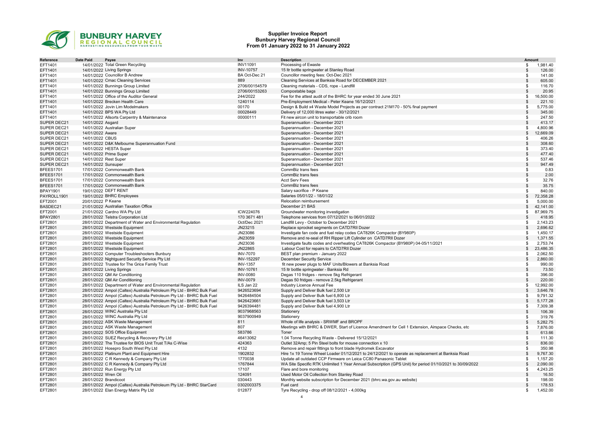

#### Supplier Invoice Report Bunbury Harvey Regional Council From 01 January 2022 to 31 January 2022

| Date Paid<br>Payee<br>Inv<br>Reference<br>EFT1401<br>14/01/2022 Total Green Recycling<br><b>INV11091</b><br>14/01/2022 Living Springs<br><b>INV-10757</b><br>EFT1401<br>EFT1401<br>14/01/2022 Councillor B Andrew<br>BA Oct-Dec 21<br>14/01/2022 Cmac Cleaning Services<br>889<br>EFT1401<br>EFT1401<br>14/01/2022 Bunnings Group Limited<br>2706/00154579<br>2706/00153263<br>EFT1401<br>14/01/2022 Bunnings Group Limited<br>EFT1401<br>14/01/2022 Office of the Auditor General<br>244/2022 | <b>Description</b><br>Processing of Ewaste<br>15 Itr bottle springwater at Stanley Road<br>Councillor meeting fees: Oct-Dec 2021<br>Cleaning Services at Banksia Road for DECEMBER 2021<br>Cleaning materials - CDS, rope - Landfill<br>Compostable bags<br>Fee for the attest audit of the BHRC for year ended 30 June 2021<br>Pre-Employment Medical - Peter Keane 16/12/2021<br>Design & Build x4 Waste Model Projects as per contract 21M170 - 50% final payment<br>Delivery of 12,000 litres water - 30/12/2021<br>Fit new aircon unit to transportable crib room | S.<br>\$<br>S.<br>\$<br>\$<br>\$<br>S<br>$\mathbf{s}$<br>\$ | <b>Amount</b><br>1,981.40<br>126.00<br>141.00<br>605.00<br>116.70<br>20.95<br>16,500.00<br>221.10 |
|------------------------------------------------------------------------------------------------------------------------------------------------------------------------------------------------------------------------------------------------------------------------------------------------------------------------------------------------------------------------------------------------------------------------------------------------------------------------------------------------|------------------------------------------------------------------------------------------------------------------------------------------------------------------------------------------------------------------------------------------------------------------------------------------------------------------------------------------------------------------------------------------------------------------------------------------------------------------------------------------------------------------------------------------------------------------------|-------------------------------------------------------------|---------------------------------------------------------------------------------------------------|
|                                                                                                                                                                                                                                                                                                                                                                                                                                                                                                |                                                                                                                                                                                                                                                                                                                                                                                                                                                                                                                                                                        |                                                             |                                                                                                   |
|                                                                                                                                                                                                                                                                                                                                                                                                                                                                                                |                                                                                                                                                                                                                                                                                                                                                                                                                                                                                                                                                                        |                                                             |                                                                                                   |
|                                                                                                                                                                                                                                                                                                                                                                                                                                                                                                |                                                                                                                                                                                                                                                                                                                                                                                                                                                                                                                                                                        |                                                             |                                                                                                   |
|                                                                                                                                                                                                                                                                                                                                                                                                                                                                                                |                                                                                                                                                                                                                                                                                                                                                                                                                                                                                                                                                                        |                                                             |                                                                                                   |
|                                                                                                                                                                                                                                                                                                                                                                                                                                                                                                |                                                                                                                                                                                                                                                                                                                                                                                                                                                                                                                                                                        |                                                             |                                                                                                   |
|                                                                                                                                                                                                                                                                                                                                                                                                                                                                                                |                                                                                                                                                                                                                                                                                                                                                                                                                                                                                                                                                                        |                                                             |                                                                                                   |
|                                                                                                                                                                                                                                                                                                                                                                                                                                                                                                |                                                                                                                                                                                                                                                                                                                                                                                                                                                                                                                                                                        |                                                             |                                                                                                   |
| 14/01/2022 Brecken Health Care<br>1240114<br>EFT1401                                                                                                                                                                                                                                                                                                                                                                                                                                           |                                                                                                                                                                                                                                                                                                                                                                                                                                                                                                                                                                        |                                                             |                                                                                                   |
| EFT1401<br>14/01/2022 Jovin Lim Modelmakers<br>00170                                                                                                                                                                                                                                                                                                                                                                                                                                           |                                                                                                                                                                                                                                                                                                                                                                                                                                                                                                                                                                        |                                                             | 5,775.00                                                                                          |
| EFT1401<br>14/01/2022 BPS WA Pty Ltd<br>00028449                                                                                                                                                                                                                                                                                                                                                                                                                                               |                                                                                                                                                                                                                                                                                                                                                                                                                                                                                                                                                                        | \$                                                          | 345.00                                                                                            |
| EFT1401<br>14/01/2022 Allsorts Carpentry & Maintenance<br>00000111                                                                                                                                                                                                                                                                                                                                                                                                                             |                                                                                                                                                                                                                                                                                                                                                                                                                                                                                                                                                                        | \$.                                                         | 247.50                                                                                            |
| SUPER DEC21<br>14/01/2022 Asgard                                                                                                                                                                                                                                                                                                                                                                                                                                                               | Superannuation - December 2021                                                                                                                                                                                                                                                                                                                                                                                                                                                                                                                                         | \$                                                          | 413.17                                                                                            |
| SUPER DEC21<br>14/01/2022 Australian Super                                                                                                                                                                                                                                                                                                                                                                                                                                                     | Superannuation - December 2021                                                                                                                                                                                                                                                                                                                                                                                                                                                                                                                                         | \$                                                          | 4,800.96                                                                                          |
| SUPER DEC21<br>14/01/2022 Aware                                                                                                                                                                                                                                                                                                                                                                                                                                                                | Superannuation - December 2021                                                                                                                                                                                                                                                                                                                                                                                                                                                                                                                                         | \$                                                          | 12,669.09                                                                                         |
| SUPER DEC21<br>14/01/2022 CBUS                                                                                                                                                                                                                                                                                                                                                                                                                                                                 | Superannuation - December 2021                                                                                                                                                                                                                                                                                                                                                                                                                                                                                                                                         | \$                                                          | 406.26                                                                                            |
| SUPER DEC21<br>14/01/2022 D&K Melbourne Superannuation Fund                                                                                                                                                                                                                                                                                                                                                                                                                                    | Superannuation - December 2021                                                                                                                                                                                                                                                                                                                                                                                                                                                                                                                                         | \$                                                          | 308.60                                                                                            |
| SUPER DEC21<br>14/01/2022 HESTA Super                                                                                                                                                                                                                                                                                                                                                                                                                                                          | Superannuation - December 2021                                                                                                                                                                                                                                                                                                                                                                                                                                                                                                                                         | \$                                                          | 373.40                                                                                            |
| SUPER DEC21<br>14/01/2022 Prime Super                                                                                                                                                                                                                                                                                                                                                                                                                                                          | Superannuation - December 2021                                                                                                                                                                                                                                                                                                                                                                                                                                                                                                                                         | \$                                                          | 477.40                                                                                            |
| SUPER DEC21<br>14/01/2022 Rest Super                                                                                                                                                                                                                                                                                                                                                                                                                                                           | Superannuation - December 2021                                                                                                                                                                                                                                                                                                                                                                                                                                                                                                                                         | S                                                           | 537.46                                                                                            |
| SUPER DEC21<br>14/01/2022 Sunsuper                                                                                                                                                                                                                                                                                                                                                                                                                                                             | Superannuation - December 2021                                                                                                                                                                                                                                                                                                                                                                                                                                                                                                                                         | $\mathfrak{L}$                                              | 947.49                                                                                            |
| BFEES1701<br>17/01/2022 Commonwealth Bank                                                                                                                                                                                                                                                                                                                                                                                                                                                      | CommBiz trans fees                                                                                                                                                                                                                                                                                                                                                                                                                                                                                                                                                     | \$                                                          | 0.83                                                                                              |
| BFEES1701<br>17/01/2022 Commonwealth Bank                                                                                                                                                                                                                                                                                                                                                                                                                                                      | CommBiz trans fees                                                                                                                                                                                                                                                                                                                                                                                                                                                                                                                                                     | S                                                           | 2.00                                                                                              |
| 17/01/2022 Commonwealth Bank<br>BFEES1701                                                                                                                                                                                                                                                                                                                                                                                                                                                      | <b>Acct Serv Fees</b>                                                                                                                                                                                                                                                                                                                                                                                                                                                                                                                                                  | \$                                                          | 32.76                                                                                             |
| 17/01/2022 Commonwealth Bank<br>BFEES1701                                                                                                                                                                                                                                                                                                                                                                                                                                                      | CommBiz trans fees                                                                                                                                                                                                                                                                                                                                                                                                                                                                                                                                                     | \$.                                                         | 35.75                                                                                             |
| 19/01/2022 DEFT RENT<br><b>BPAY1901</b>                                                                                                                                                                                                                                                                                                                                                                                                                                                        | Salary sacrifice - P Keane                                                                                                                                                                                                                                                                                                                                                                                                                                                                                                                                             | S                                                           | 840.00                                                                                            |
| PAYROLL1901<br>19/01/2022 BHRC Employees                                                                                                                                                                                                                                                                                                                                                                                                                                                       | Salaries 05/01/22 - 18/01/22                                                                                                                                                                                                                                                                                                                                                                                                                                                                                                                                           | $\mathbb{S}$                                                | 72,358.28                                                                                         |
| 20/01/2022 P Keane<br>EFT2001                                                                                                                                                                                                                                                                                                                                                                                                                                                                  | Relocation reimbursement                                                                                                                                                                                                                                                                                                                                                                                                                                                                                                                                               | S                                                           | 5,000.00                                                                                          |
| BASDEC21<br>21/01/2022 Australian Taxation Office                                                                                                                                                                                                                                                                                                                                                                                                                                              | December 21 BAS                                                                                                                                                                                                                                                                                                                                                                                                                                                                                                                                                        | \$                                                          | 42,141.00                                                                                         |
| EFT2001<br>21/01/2022 Cardno WA Pty Ltd<br>ICW224076                                                                                                                                                                                                                                                                                                                                                                                                                                           | Groundwater monitoring investigation                                                                                                                                                                                                                                                                                                                                                                                                                                                                                                                                   | S.                                                          | 87,969.75                                                                                         |
| <b>BPAY2801</b><br>170 3671 481<br>28/01/2022 Telstra Corporation Ltd                                                                                                                                                                                                                                                                                                                                                                                                                          | Telephone services from 07/12/2021 to 06/01/2022                                                                                                                                                                                                                                                                                                                                                                                                                                                                                                                       | \$                                                          | 418.95                                                                                            |
| EFT2801<br>28/01/2022 Department of Water and Environmental Regulation<br>Oct/Dec 2021                                                                                                                                                                                                                                                                                                                                                                                                         | Landfill Levy - October to December 2021                                                                                                                                                                                                                                                                                                                                                                                                                                                                                                                               | \$                                                          | 2,143.23                                                                                          |
| EFT2801<br>28/01/2022 Westside Equipment<br>JN23215                                                                                                                                                                                                                                                                                                                                                                                                                                            | Replace sprocket segments on CATD7RII Dozer                                                                                                                                                                                                                                                                                                                                                                                                                                                                                                                            | \$                                                          | 2,696.62                                                                                          |
| EFT2801<br>28/01/2022 Westside Equipment<br>JN23086                                                                                                                                                                                                                                                                                                                                                                                                                                            | Investigate fan code and fuel relay codes CAT826K Compactor (BY980P)                                                                                                                                                                                                                                                                                                                                                                                                                                                                                                   | \$                                                          | 1,450.17                                                                                          |
| JN23059<br>EFT2801<br>28/01/2022 Westside Equipment                                                                                                                                                                                                                                                                                                                                                                                                                                            | Remove and re-seal of RH Ripper Lift Cylinder on CATD7RII Dozer                                                                                                                                                                                                                                                                                                                                                                                                                                                                                                        | \$                                                          | 1,371.55                                                                                          |
| EFT2801<br>28/01/2022 Westside Equipment<br>JN23036                                                                                                                                                                                                                                                                                                                                                                                                                                            | Investigate faults codes and overheating CAT826K Compactor (BY980P) 04-05/11/2021                                                                                                                                                                                                                                                                                                                                                                                                                                                                                      | \$                                                          | 2,753.74                                                                                          |
| JN22865<br>28/01/2022 Westside Equipment<br>EFT2801                                                                                                                                                                                                                                                                                                                                                                                                                                            | Labour Cost for repairs to CATD7RII Dozer                                                                                                                                                                                                                                                                                                                                                                                                                                                                                                                              | $\mathbf{s}$                                                | 23,486.35                                                                                         |
| <b>INV-7070</b><br>EFT2801<br>28/01/2022 Computer Troubleshooters Bunbury                                                                                                                                                                                                                                                                                                                                                                                                                      | BEST plan premium - January 2022                                                                                                                                                                                                                                                                                                                                                                                                                                                                                                                                       | -96                                                         | 2,062.50                                                                                          |
| 28/01/2022 Nightguard Security Service Pty Ltd<br>INV-152297<br>EFT2801                                                                                                                                                                                                                                                                                                                                                                                                                        | December Security Service                                                                                                                                                                                                                                                                                                                                                                                                                                                                                                                                              | \$                                                          | 2.860.00                                                                                          |
| <b>INV-1357</b><br>EFT2801<br>28/01/2022 Trustee for The Grice Family Trust                                                                                                                                                                                                                                                                                                                                                                                                                    | fit new power plugs to MAF Units/Blowers at Banksia Road                                                                                                                                                                                                                                                                                                                                                                                                                                                                                                               | S                                                           | 990.00                                                                                            |
| 28/01/2022 Living Springs<br><b>INV-10761</b><br>EFT2801                                                                                                                                                                                                                                                                                                                                                                                                                                       | 15 Itr bottle springwater - Banksia Rd                                                                                                                                                                                                                                                                                                                                                                                                                                                                                                                                 | \$.                                                         | 73.50                                                                                             |
| EFT2801<br>28/01/2022 QM Air Conditioning<br><b>INV-0080</b>                                                                                                                                                                                                                                                                                                                                                                                                                                   | Degas 110 fridges - remove 5kg Refrigerant                                                                                                                                                                                                                                                                                                                                                                                                                                                                                                                             | S                                                           | 396.00                                                                                            |
| 28/01/2022 QM Air Conditioning<br><b>INV-0079</b><br>EFT2801                                                                                                                                                                                                                                                                                                                                                                                                                                   | Degas 50 fridges - remove 2.5kg Refrigerant                                                                                                                                                                                                                                                                                                                                                                                                                                                                                                                            | \$                                                          | 220.00                                                                                            |
| EFT2801<br>28/01/2022 Department of Water and Environmental Regulation<br>ILS Jan 22                                                                                                                                                                                                                                                                                                                                                                                                           | Industry Licence Annual Fee                                                                                                                                                                                                                                                                                                                                                                                                                                                                                                                                            | \$.                                                         | 12,992.00                                                                                         |
| 28/01/2022 Ampol (Caltex) Australia Petroleum Pty Ltd - BHRC Bulk Fuel<br>9426523694<br>EFT2801                                                                                                                                                                                                                                                                                                                                                                                                | Supply and Deliver Bulk fuel 2,500 Ltr                                                                                                                                                                                                                                                                                                                                                                                                                                                                                                                                 | \$                                                          | 3,646.78                                                                                          |
| EFT2801<br>28/01/2022 Ampol (Caltex) Australia Petroleum Pty Ltd - BHRC Bulk Fuel<br>9426484504                                                                                                                                                                                                                                                                                                                                                                                                | Supply and Deliver Bulk fuel 6,800 Ltr                                                                                                                                                                                                                                                                                                                                                                                                                                                                                                                                 | S                                                           | 9,791.32                                                                                          |
| EFT2801<br>28/01/2022 Ampol (Caltex) Australia Petroleum Pty Ltd - BHRC Bulk Fuel<br>9426423661                                                                                                                                                                                                                                                                                                                                                                                                | Supply and Deliver Bulk fuel 3,503 Ltr                                                                                                                                                                                                                                                                                                                                                                                                                                                                                                                                 |                                                             | 5,177.28                                                                                          |
| EFT2801<br>28/01/2022 Ampol (Caltex) Australia Petroleum Pty Ltd - BHRC Bulk Fuel<br>9426394481                                                                                                                                                                                                                                                                                                                                                                                                | Supply and Deliver Bulk fuel 4,900 Ltr                                                                                                                                                                                                                                                                                                                                                                                                                                                                                                                                 | \$                                                          | 7,309.38                                                                                          |
| EFT2801<br>28/01/2022 WINC Australia Pty Ltd<br>9037968563                                                                                                                                                                                                                                                                                                                                                                                                                                     | Stationery                                                                                                                                                                                                                                                                                                                                                                                                                                                                                                                                                             | $\mathbf{s}$                                                | 106.39                                                                                            |
| EFT2801<br>28/01/2022 WINC Australia Pty Ltd<br>9037900949                                                                                                                                                                                                                                                                                                                                                                                                                                     | Stationery                                                                                                                                                                                                                                                                                                                                                                                                                                                                                                                                                             | \$.                                                         | 319.76                                                                                            |
| EFT2801<br>28/01/2022 ASK Waste Management<br>811                                                                                                                                                                                                                                                                                                                                                                                                                                              | Whole of life analysis - SRWMF and BROPF                                                                                                                                                                                                                                                                                                                                                                                                                                                                                                                               | \$                                                          | 5,282.75                                                                                          |
| EFT2801<br>807<br>28/01/2022 ASK Waste Management                                                                                                                                                                                                                                                                                                                                                                                                                                              | Meetings with BHRC & DWER, Start of Licence Amendment for Cell 1 Extension, Airspace Checks, etc                                                                                                                                                                                                                                                                                                                                                                                                                                                                       | \$                                                          | 7,876.00                                                                                          |
| 583786<br>EFT2801<br>28/01/2022 SOS Office Equipment                                                                                                                                                                                                                                                                                                                                                                                                                                           | Toner                                                                                                                                                                                                                                                                                                                                                                                                                                                                                                                                                                  |                                                             | 613.66                                                                                            |
| 46413062<br>EFT2801<br>28/01/2022 SUEZ Recycling & Recovery Pty Ltd                                                                                                                                                                                                                                                                                                                                                                                                                            | 1.04 Tonne Recycling Waste - Delivered 15/12/2021                                                                                                                                                                                                                                                                                                                                                                                                                                                                                                                      | \$.                                                         | 111.30                                                                                            |
| 424363<br>EFT2801<br>28/01/2022 The Trustee for BIOS Unit Trust T/As C-Wise                                                                                                                                                                                                                                                                                                                                                                                                                    | Outlet 32Amp; 5 Pin Steel bolts for mouse connection x 10                                                                                                                                                                                                                                                                                                                                                                                                                                                                                                              | $\mathfrak{L}$                                              | 836.00                                                                                            |
| 4132<br>EFT2801<br>28/01/2022 Hosepro South West Pty Ltd                                                                                                                                                                                                                                                                                                                                                                                                                                       | Remove and repair fittings to front blade Hydromek Excavator                                                                                                                                                                                                                                                                                                                                                                                                                                                                                                           | \$.                                                         | 350.98                                                                                            |
| 1902832<br>EFT2801<br>28/01/2022 Platinum Plant and Equipment Hire                                                                                                                                                                                                                                                                                                                                                                                                                             | Hire 1x 19 Tonne Wheel Loader 01/12/2021 to 24/12/2021 to operate as replacement at Banksia Road                                                                                                                                                                                                                                                                                                                                                                                                                                                                       | \$                                                          | 9,767.30                                                                                          |
| 28/01/2022 C R Kennedy & Company Pty Ltd<br>1770038<br>EFT2801                                                                                                                                                                                                                                                                                                                                                                                                                                 | Update all outdated CCP Firmware on Leica CC80 Panasonic Tablet                                                                                                                                                                                                                                                                                                                                                                                                                                                                                                        | £.                                                          | 1.157.20                                                                                          |
| 1767844<br>EFT2801<br>28/01/2022 C R Kennedy & Company Pty Ltd                                                                                                                                                                                                                                                                                                                                                                                                                                 | WA Site Specific RTK Unlimited 1 Year Annual Subscription (GPS Unit) for period 01/10/2021 to 30/09/2022                                                                                                                                                                                                                                                                                                                                                                                                                                                               | \$                                                          | 2,090.00                                                                                          |
| 28/01/2022 Run Energy Pty Ltd<br>17107<br>EFT2801                                                                                                                                                                                                                                                                                                                                                                                                                                              | Flare and bore monitoring                                                                                                                                                                                                                                                                                                                                                                                                                                                                                                                                              | S                                                           | 4,243.25                                                                                          |
| EFT2801<br>28/01/2022 Wren Oil<br>124091                                                                                                                                                                                                                                                                                                                                                                                                                                                       | Used Motor Oil Collection from Stanley Road                                                                                                                                                                                                                                                                                                                                                                                                                                                                                                                            | \$.                                                         | 16.50                                                                                             |
| 030443<br>EFT2801<br>28/01/2022 Brandicoot                                                                                                                                                                                                                                                                                                                                                                                                                                                     | Monthly website subscription for December 2021 (bhrc.wa.gov.au website)                                                                                                                                                                                                                                                                                                                                                                                                                                                                                                | \$.                                                         | 198.00                                                                                            |
| EFT2801<br>28/01/2022 Ampol (Caltex) Australia Petroleum Pty Ltd - BHRC StarCard<br>0302003375                                                                                                                                                                                                                                                                                                                                                                                                 | Fuel card                                                                                                                                                                                                                                                                                                                                                                                                                                                                                                                                                              | \$                                                          | 178.53                                                                                            |
| EFT2801<br>28/01/2022 Elan Energy Matrix Pty Ltd<br>012877                                                                                                                                                                                                                                                                                                                                                                                                                                     | Tyre Recycling - drop off 08/12/2021 - 4,000kg                                                                                                                                                                                                                                                                                                                                                                                                                                                                                                                         | \$.                                                         | 1,452.00                                                                                          |